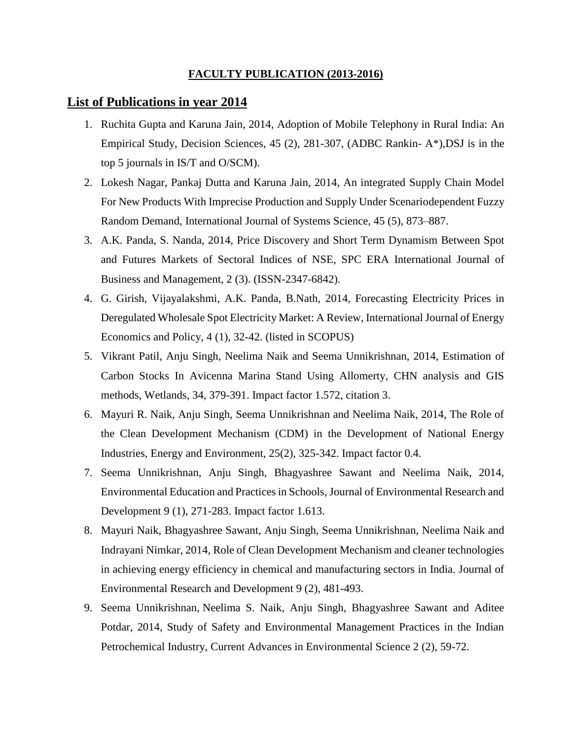## **FACULTY PUBLICATION (2013-2016)**

## **List of Publications in year 2014**

- 1. Ruchita Gupta and Karuna Jain, 2014, [Adoption of Mobile Telephony in Rural India: An](http://onlinelibrary.wiley.com/doi/10.1111/deci.12068/pdf)  [Empirical Study,](http://onlinelibrary.wiley.com/doi/10.1111/deci.12068/pdf) Decision Sciences, 45 (2), 281-307, (ADBC Rankin- A\*),DSJ is in the top 5 journals in IS/T and O/SCM).
- 2. Lokesh Nagar, Pankaj Dutta and Karuna Jain, 2014, An integrated Supply Chain Model For New Products With Imprecise Production and Supply Under Scenariodependent Fuzzy Random Demand, International Journal of Systems Science, 45 (5), 873–887.
- 3. A.K. Panda, S. Nanda, 2014, Price Discovery and Short Term Dynamism Between Spot and Futures Markets of Sectoral Indices of NSE, SPC ERA International Journal of Business and Management, 2 (3). (ISSN-2347-6842).
- 4. G. Girish, Vijayalakshmi, A.K. Panda, B.Nath, 2014, Forecasting Electricity Prices in Deregulated Wholesale Spot Electricity Market: A Review, International Journal of Energy Economics and Policy, 4 (1), 32-42. (listed in SCOPUS)
- 5. Vikrant Patil, Anju Singh, Neelima Naik and Seema Unnikrishnan, 2014, Estimation of Carbon Stocks In Avicenna Marina Stand Using Allomerty, CHN analysis and GIS methods, Wetlands, 34, 379-391. Impact factor 1.572, citation 3.
- 6. Mayuri R. Naik, Anju Singh, Seema Unnikrishnan and Neelima Naik, 2014, The Role of the Clean Development Mechanism (CDM) in the Development of National Energy Industries, Energy and Environment, 25(2), 325-342. Impact factor 0.4.
- 7. Seema Unnikrishnan, Anju Singh, Bhagyashree Sawant and Neelima Naik, 2014, Environmental Education and Practices in Schools, Journal of Environmental Research and Development 9 (1), 271-283. Impact factor 1.613.
- 8. Mayuri Naik, Bhagyashree Sawant, Anju Singh, Seema Unnikrishnan, Neelima Naik and Indrayani Nimkar, 2014, Role of Clean Development Mechanism and cleaner technologies in achieving energy efficiency in chemical and manufacturing sectors in India. Journal of Environmental Research and Development 9 (2), 481-493.
- 9. Seema Unnikrishnan, Neelima S. Naik, Anju Singh, Bhagyashree Sawant and Aditee Potdar, 2014, Study of Safety and Environmental Management Practices in the Indian Petrochemical Industry, Current Advances in Environmental Science 2 (2), 59-72.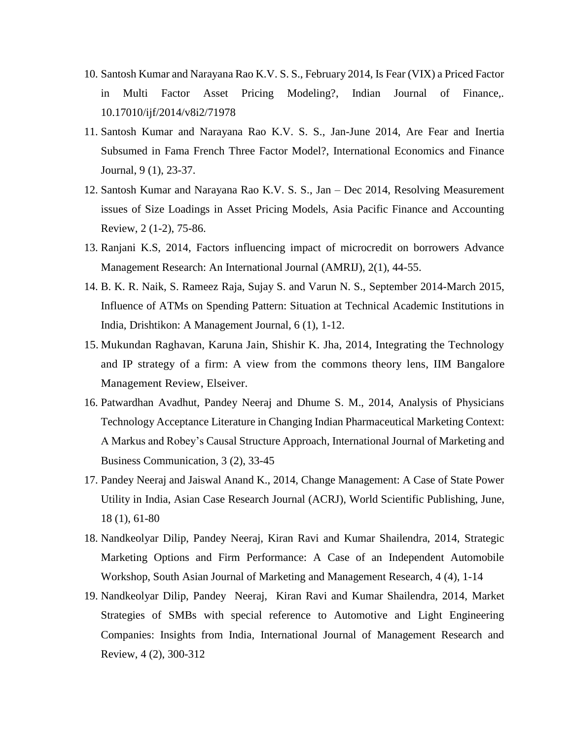- 10. Santosh Kumar and Narayana Rao K.V. S. S., February 2014, Is Fear (VIX) a Priced Factor in Multi Factor Asset Pricing Modeling?, Indian Journal of Finance,. 10.17010/ijf/2014/v8i2/71978
- 11. Santosh Kumar and Narayana Rao K.V. S. S., Jan-June 2014, Are Fear and Inertia Subsumed in Fama French Three Factor Model?, International Economics and Finance Journal, 9 (1), 23-37.
- 12. Santosh Kumar and Narayana Rao K.V. S. S., Jan Dec 2014, Resolving Measurement issues of Size Loadings in Asset Pricing Models, Asia Pacific Finance and Accounting Review, 2 (1-2), 75-86.
- 13. Ranjani K.S, 2014, Factors influencing impact of microcredit on borrowers Advance Management Research: An International Journal (AMRIJ), 2(1), 44-55.
- 14. B. K. R. Naik, S. Rameez Raja, Sujay S. and Varun N. S., September 2014-March 2015, Influence of ATMs on Spending Pattern: Situation at Technical Academic Institutions in India, Drishtikon: A Management Journal, 6 (1), 1-12.
- 15. Mukundan Raghavan, Karuna Jain, Shishir K. Jha, 2014, Integrating the Technology and IP strategy of a firm: A view from the commons theory lens, IIM Bangalore Management Review, Elseiver.
- 16. Patwardhan Avadhut, Pandey Neeraj and Dhume S. M., 2014, Analysis of Physicians Technology Acceptance Literature in Changing Indian Pharmaceutical Marketing Context: A Markus and Robey's Causal Structure Approach, International Journal of Marketing and Business Communication*,* 3 (2), 33-45
- 17. Pandey Neeraj and Jaiswal Anand K., 2014, Change Management: A Case of State Power Utility in India, Asian Case Research Journal (ACRJ), World Scientific Publishing, June, 18 (1), 61-80
- 18. Nandkeolyar Dilip, Pandey Neeraj, Kiran Ravi and Kumar Shailendra, 2014, Strategic Marketing Options and Firm Performance: A Case of an Independent Automobile Workshop, South Asian Journal of Marketing and Management Research, 4 (4), 1-14
- 19. Nandkeolyar Dilip, Pandey Neeraj, Kiran Ravi and Kumar Shailendra, 2014, Market Strategies of SMBs with special reference to Automotive and Light Engineering Companies: Insights from India, International Journal of Management Research and Review, 4 (2), 300-312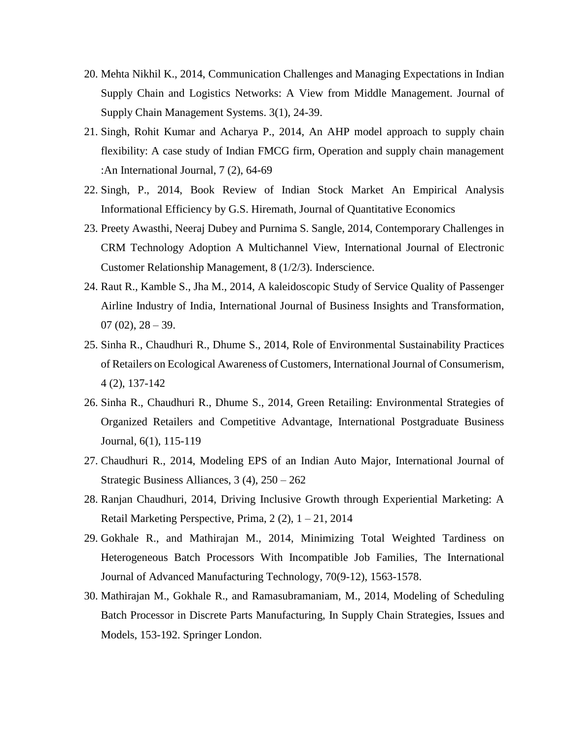- 20. Mehta Nikhil K., 2014, Communication Challenges and Managing Expectations in Indian Supply Chain and Logistics Networks: A View from Middle Management. Journal of Supply Chain Management Systems. 3(1), 24-39.
- 21. Singh, Rohit Kumar and Acharya P., 2014, An AHP model approach to supply chain flexibility: A case study of Indian FMCG firm, Operation and supply chain management :An International Journal, 7 (2), 64-69
- 22. Singh, P., 2014, Book Review of Indian Stock Market An Empirical Analysis Informational Efficiency by G.S. Hiremath, Journal of Quantitative Economics
- 23. Preety Awasthi, Neeraj Dubey and Purnima S. Sangle, 2014, Contemporary Challenges in CRM Technology Adoption A Multichannel View, International Journal of Electronic Customer Relationship Management, 8 (1/2/3). Inderscience.
- 24. Raut R., Kamble S., Jha M., 2014, A kaleidoscopic Study of Service Quality of Passenger Airline Industry of India, International Journal of Business Insights and Transformation,  $07(02)$ ,  $28-39$ .
- 25. Sinha R., Chaudhuri R., Dhume S., 2014, Role of Environmental Sustainability Practices of Retailers on Ecological Awareness of Customers, International Journal of Consumerism, 4 (2), 137-142
- 26. Sinha R., Chaudhuri R., Dhume S., 2014, Green Retailing: Environmental Strategies of Organized Retailers and Competitive Advantage, International Postgraduate Business Journal*,* 6(1), 115-119
- 27. Chaudhuri R., 2014, Modeling EPS of an Indian Auto Major, International Journal of Strategic Business Alliances, 3 (4), 250 – 262
- 28. Ranjan Chaudhuri, 2014, Driving Inclusive Growth through Experiential Marketing: A Retail Marketing Perspective, Prima,  $2(2)$ ,  $1 - 21$ ,  $2014$
- 29. Gokhale R., and Mathirajan M., 2014, Minimizing Total Weighted Tardiness on Heterogeneous Batch Processors With Incompatible Job Families, The International Journal of Advanced Manufacturing Technology, 70(9-12), 1563-1578.
- 30. Mathirajan M., Gokhale R., and Ramasubramaniam, M., 2014, Modeling of Scheduling Batch Processor in Discrete Parts Manufacturing, In Supply Chain Strategies, Issues and Models, 153-192. Springer London.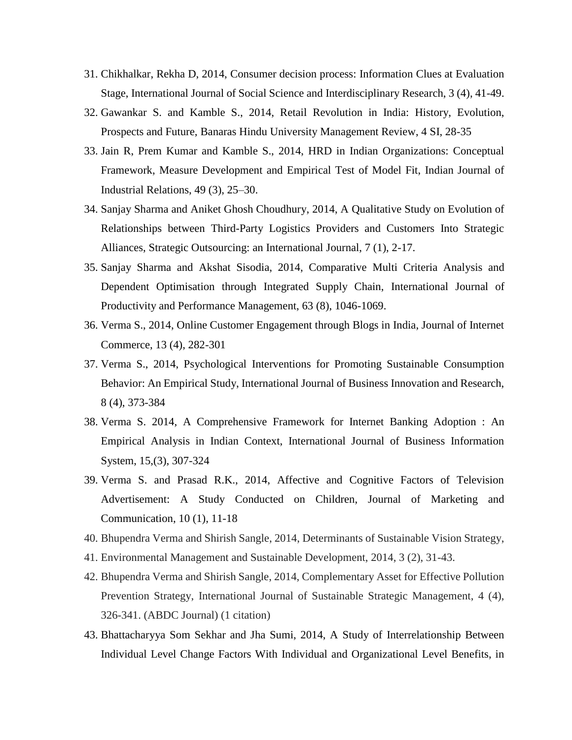- 31. Chikhalkar, Rekha D, 2014, Consumer decision process: Information Clues at Evaluation Stage, International Journal of Social Science and Interdisciplinary Research, 3 (4), 41-49.
- 32. Gawankar S. and Kamble S., 2014, Retail Revolution in India: History, Evolution, Prospects and Future, Banaras Hindu University Management Review, 4 SI, 28-35
- 33. Jain R, Prem Kumar and Kamble S., 2014, HRD in Indian Organizations: Conceptual Framework, Measure Development and Empirical Test of Model Fit, Indian Journal of Industrial Relations, 49 (3), 25–30.
- 34. Sanjay Sharma and Aniket Ghosh Choudhury, 2014, A Qualitative Study on Evolution of Relationships between Third-Party Logistics Providers and Customers Into Strategic Alliances, Strategic Outsourcing: an International Journal, 7 (1), 2-17.
- 35. Sanjay Sharma and Akshat Sisodia, 2014, Comparative Multi Criteria Analysis and Dependent Optimisation through Integrated Supply Chain, International Journal of Productivity and Performance Management, 63 (8), 1046-1069.
- 36. Verma S., 2014, Online Customer Engagement through Blogs in India, Journal of Internet Commerce, 13 (4), 282-301
- 37. Verma S., 2014, Psychological Interventions for Promoting Sustainable Consumption Behavior: An Empirical Study, International Journal of Business Innovation and Research, 8 (4), 373-384
- 38. Verma S. 2014, A Comprehensive Framework for Internet Banking Adoption : An Empirical Analysis in Indian Context, International Journal of Business Information System, 15,(3), 307-324
- 39. Verma S. and Prasad R.K., 2014, Affective and Cognitive Factors of Television Advertisement: A Study Conducted on Children, Journal of Marketing and Communication, 10 (1), 11-18
- 40. Bhupendra Verma and Shirish Sangle, 2014, Determinants of Sustainable Vision Strategy,
- 41. Environmental Management and Sustainable Development, 2014, 3 (2), 31-43.
- 42. Bhupendra Verma and Shirish Sangle, 2014, Complementary Asset for Effective Pollution Prevention Strategy, International Journal of Sustainable Strategic Management, 4 (4), 326-341. (ABDC Journal) (1 citation)
- 43. Bhattacharyya Som Sekhar and Jha Sumi, 2014, A Study of Interrelationship Between Individual Level Change Factors With Individual and Organizational Level Benefits, in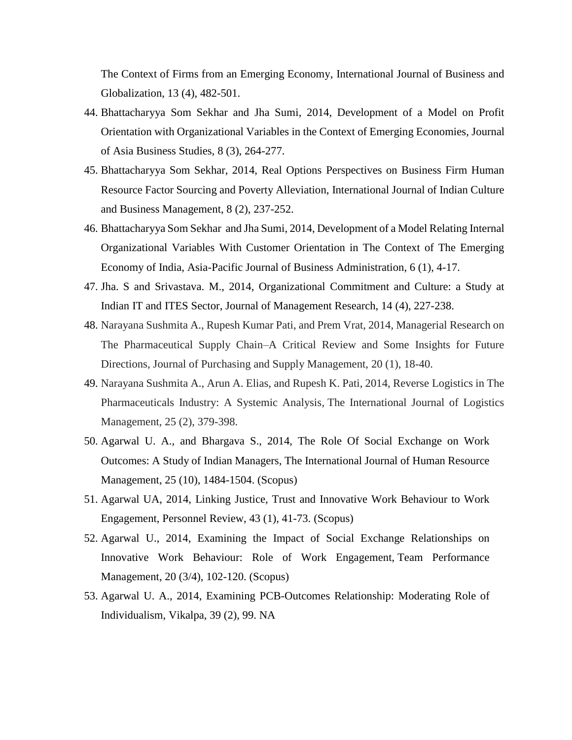The Context of Firms from an Emerging Economy, International Journal of Business and Globalization, 13 (4), 482-501.

- 44. Bhattacharyya Som Sekhar and Jha Sumi, 2014, Development of a Model on Profit Orientation with Organizational Variables in the Context of Emerging Economies, Journal of Asia Business Studies, 8 (3), 264-277.
- 45. Bhattacharyya Som Sekhar, 2014, Real Options Perspectives on Business Firm Human Resource Factor Sourcing and Poverty Alleviation, International Journal of Indian Culture and Business Management, 8 (2), 237-252.
- 46. Bhattacharyya Som Sekhar and Jha Sumi, 2014, Development of a Model Relating Internal Organizational Variables With Customer Orientation in The Context of The Emerging Economy of India, Asia-Pacific Journal of Business Administration, 6 (1), 4-17.
- 47. Jha. S and Srivastava. M., 2014, Organizational Commitment and Culture: a Study at Indian IT and ITES Sector, Journal of Management Research, 14 (4), 227-238.
- 48. Narayana Sushmita A., Rupesh Kumar Pati, and Prem Vrat, 2014, Managerial Research on The Pharmaceutical Supply Chain–A Critical Review and Some Insights for Future Directions, Journal of Purchasing and Supply Management, 20 (1), 18-40.
- 49. Narayana Sushmita A., Arun A. Elias, and Rupesh K. Pati, 2014, Reverse Logistics in The Pharmaceuticals Industry: A Systemic Analysis, The International Journal of Logistics Management, 25 (2), 379-398.
- 50. Agarwal U. A., and Bhargava S., 2014, The Role Of Social Exchange on Work Outcomes: A Study of Indian Managers, The International Journal of Human Resource Management, 25 (10), 1484-1504. (Scopus)
- 51. Agarwal UA, 2014, Linking Justice, Trust and Innovative Work Behaviour to Work Engagement, Personnel Review, 43 (1), 41-73. (Scopus)
- 52. Agarwal U., 2014, Examining the Impact of Social Exchange Relationships on Innovative Work Behaviour: Role of Work Engagement, Team Performance Management, 20 (3/4), 102-120. (Scopus)
- 53. Agarwal U. A., 2014, Examining PCB-Outcomes Relationship: Moderating Role of Individualism, Vikalpa, 39 (2), 99. NA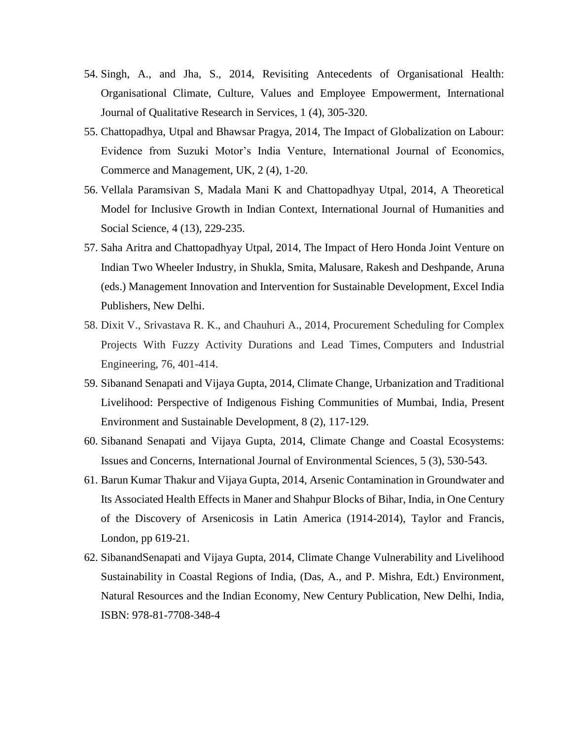- 54. Singh, A., and Jha, S., 2014, Revisiting Antecedents of Organisational Health: Organisational Climate, Culture, Values and Employee Empowerment, International Journal of Qualitative Research in Services*,* 1 (4), 305-320.
- 55. Chattopadhya, Utpal and Bhawsar Pragya, 2014, The Impact of Globalization on Labour: Evidence from Suzuki Motor's India Venture, International Journal of Economics, Commerce and Management, UK, 2 (4), 1-20.
- 56. Vellala Paramsivan S, Madala Mani K and Chattopadhyay Utpal, 2014, A Theoretical Model for Inclusive Growth in Indian Context, International Journal of Humanities and Social Science, 4 (13), 229-235.
- 57. Saha Aritra and Chattopadhyay Utpal, 2014, The Impact of Hero Honda Joint Venture on Indian Two Wheeler Industry, in Shukla, Smita, Malusare, Rakesh and Deshpande, Aruna (eds.) Management Innovation and Intervention for Sustainable Development, Excel India Publishers, New Delhi.
- 58. Dixit V., Srivastava R. K., and Chauhuri A., 2014, Procurement Scheduling for Complex Projects With Fuzzy Activity Durations and Lead Times, Computers and Industrial Engineering, 76, 401-414.
- 59. Sibanand Senapati and Vijaya Gupta, 2014, Climate Change, Urbanization and Traditional Livelihood: Perspective of Indigenous Fishing Communities of Mumbai, India, Present Environment and Sustainable Development, 8 (2), 117-129.
- 60. Sibanand Senapati and Vijaya Gupta, 2014, Climate Change and Coastal Ecosystems: Issues and Concerns, International Journal of Environmental Sciences, 5 (3), 530-543.
- 61. Barun Kumar Thakur and Vijaya Gupta, 2014, Arsenic Contamination in Groundwater and Its Associated Health Effects in Maner and Shahpur Blocks of Bihar, India, in One Century of the Discovery of Arsenicosis in Latin America (1914-2014), Taylor and Francis, London, pp 619-21.
- 62. SibanandSenapati and Vijaya Gupta, 2014, Climate Change Vulnerability and Livelihood Sustainability in Coastal Regions of India, (Das, A., and P. Mishra, Edt.) Environment, Natural Resources and the Indian Economy, New Century Publication, New Delhi, India, ISBN: 978-81-7708-348-4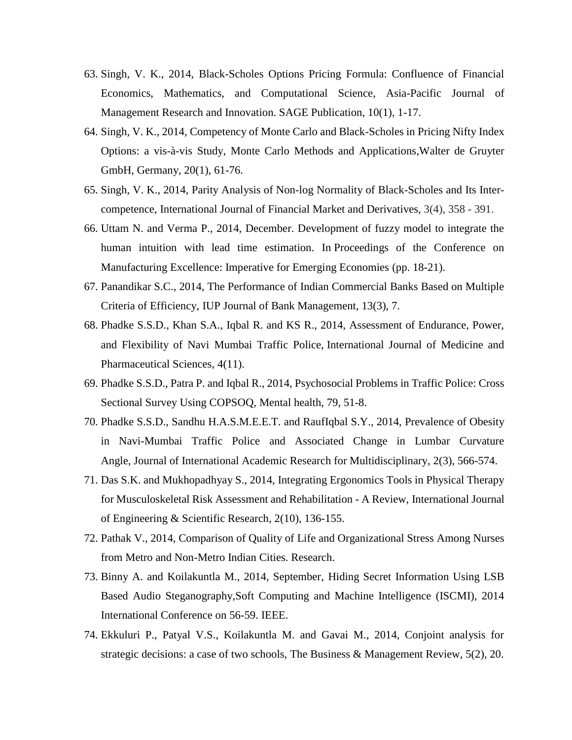- 63. Singh, V. K., 2014, Black-Scholes Options Pricing Formula: Confluence of Financial Economics, Mathematics, and Computational Science, Asia-Pacific Journal of Management Research and Innovation. SAGE Publication, 10(1), 1-17.
- 64. Singh, V. K., 2014, Competency of Monte Carlo and Black-Scholes in Pricing Nifty Index Options: a vis-à-vis Study, Monte Carlo Methods and Applications,Walter de Gruyter GmbH, Germany, 20(1), 61-76.
- 65. Singh, V. K., 2014, Parity Analysis of Non-log Normality of Black-Scholes and Its Intercompetence, International Journal of Financial Market and Derivatives, 3(4), 358 - 391.
- 66. Uttam N. and Verma P., 2014, December. Development of fuzzy model to integrate the human intuition with lead time estimation. In Proceedings of the Conference on Manufacturing Excellence: Imperative for Emerging Economies (pp. 18-21).
- 67. Panandikar S.C., 2014, The Performance of Indian Commercial Banks Based on Multiple Criteria of Efficiency, IUP Journal of Bank Management, 13(3), 7.
- 68. Phadke S.S.D., Khan S.A., Iqbal R. and KS R., 2014, Assessment of Endurance, Power, and Flexibility of Navi Mumbai Traffic Police, International Journal of Medicine and Pharmaceutical Sciences, 4(11).
- 69. Phadke S.S.D., Patra P. and Iqbal R., 2014, Psychosocial Problems in Traffic Police: Cross Sectional Survey Using COPSOQ, Mental health, 79, 51-8.
- 70. Phadke S.S.D., Sandhu H.A.S.M.E.E.T. and RaufIqbal S.Y., 2014, Prevalence of Obesity in Navi-Mumbai Traffic Police and Associated Change in Lumbar Curvature Angle, Journal of International Academic Research for Multidisciplinary, 2(3), 566-574.
- 71. Das S.K. and Mukhopadhyay S., 2014, Integrating Ergonomics Tools in Physical Therapy for Musculoskeletal Risk Assessment and Rehabilitation - A Review, International Journal of Engineering & Scientific Research, 2(10), 136-155.
- 72. Pathak V., 2014, Comparison of Quality of Life and Organizational Stress Among Nurses from Metro and Non-Metro Indian Cities. Research.
- 73. Binny A. and Koilakuntla M., 2014, September, Hiding Secret Information Using LSB Based Audio Steganography,Soft Computing and Machine Intelligence (ISCMI), 2014 International Conference on 56-59. IEEE.
- 74. Ekkuluri P., Patyal V.S., Koilakuntla M. and Gavai M., 2014, Conjoint analysis for strategic decisions: a case of two schools, The Business & Management Review, 5(2), 20.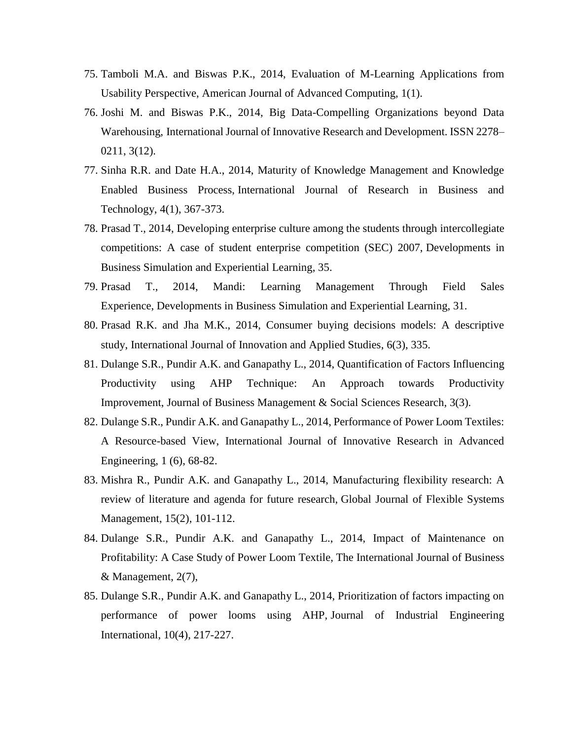- 75. Tamboli M.A. and Biswas P.K., 2014, Evaluation of M-Learning Applications from Usability Perspective, American Journal of Advanced Computing, 1(1).
- 76. Joshi M. and Biswas P.K., 2014, Big Data-Compelling Organizations beyond Data Warehousing, International Journal of Innovative Research and Development. ISSN 2278– 0211, 3(12).
- 77. Sinha R.R. and Date H.A., 2014, Maturity of Knowledge Management and Knowledge Enabled Business Process, International Journal of Research in Business and Technology, 4(1), 367-373.
- 78. Prasad T., 2014, Developing enterprise culture among the students through intercollegiate competitions: A case of student enterprise competition (SEC) 2007, Developments in Business Simulation and Experiential Learning, 35.
- 79. Prasad T., 2014, Mandi: Learning Management Through Field Sales Experience, Developments in Business Simulation and Experiential Learning, 31.
- 80. Prasad R.K. and Jha M.K., 2014, Consumer buying decisions models: A descriptive study, International Journal of Innovation and Applied Studies, 6(3), 335.
- 81. Dulange S.R., Pundir A.K. and Ganapathy L., 2014, Quantification of Factors Influencing Productivity using AHP Technique: An Approach towards Productivity Improvement, Journal of Business Management & Social Sciences Research, 3(3).
- 82. Dulange S.R., Pundir A.K. and Ganapathy L., 2014, Performance of Power Loom Textiles: A Resource-based View, International Journal of Innovative Research in Advanced Engineering, 1 (6), 68-82.
- 83. Mishra R., Pundir A.K. and Ganapathy L., 2014, Manufacturing flexibility research: A review of literature and agenda for future research, Global Journal of Flexible Systems Management, 15(2), 101-112.
- 84. Dulange S.R., Pundir A.K. and Ganapathy L., 2014, Impact of Maintenance on Profitability: A Case Study of Power Loom Textile, The International Journal of Business & Management, 2(7),
- 85. Dulange S.R., Pundir A.K. and Ganapathy L., 2014, Prioritization of factors impacting on performance of power looms using AHP, Journal of Industrial Engineering International, 10(4), 217-227.